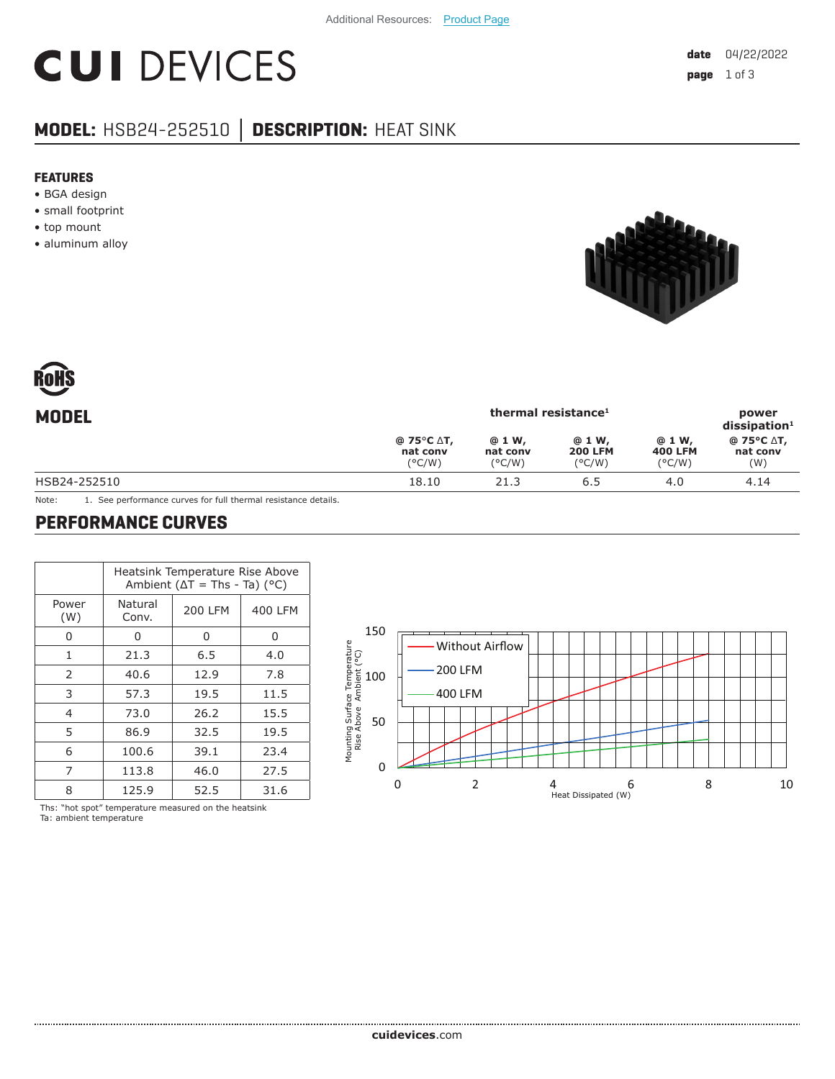# **CUI DEVICES**

### **MODEL:** HSB24-252510 **│ DESCRIPTION:** HEAT SINK

#### **FEATURES**

- BGA design
- small footprint
- top mount
- aluminum alloy





| <b>MODEL</b> | thermal resistance <sup>1</sup>                                |                                        |                                             |                                             | power<br>$dis$ sipation <sup>1</sup> |  |
|--------------|----------------------------------------------------------------|----------------------------------------|---------------------------------------------|---------------------------------------------|--------------------------------------|--|
|              | @ 75 $\degree$ C $\triangle$ T,<br>nat conv<br>$(^{\circ}C/W)$ | @ 1 W,<br>nat conv<br>$(^{\circ}$ C/W) | @ 1 W,<br><b>200 LFM</b><br>$(^{\circ}C/W)$ | @ 1 W,<br><b>400 LFM</b><br>$(^{\circ}C/W)$ | @ 75°C ∆T,<br>nat conv<br>(W)        |  |
| HSB24-252510 | 18.10                                                          | 21.3                                   | 6.5                                         | 4.0                                         | 4.14                                 |  |
|              |                                                                |                                        |                                             |                                             |                                      |  |

Note: 1. See performance curves for full thermal resistance details.

#### **PERFORMANCE CURVES**

|              | Heatsink Temperature Rise Above<br>Ambient ( $\Delta T$ = Ths - Ta) ( $^{\circ}$ C) |                |         |  |  |
|--------------|-------------------------------------------------------------------------------------|----------------|---------|--|--|
| Power<br>(W) | Natural<br>Conv.                                                                    | <b>200 LFM</b> | 400 LFM |  |  |
| ი            | 0                                                                                   | 0              | 0       |  |  |
| 1            | 21.3                                                                                | 6.5            | 4.0     |  |  |
| 2            | 40.6                                                                                | 12.9           | 7.8     |  |  |
| 3            | 57.3                                                                                | 19.5           | 11.5    |  |  |
| 4            | 73.0                                                                                | 26.2           | 15.5    |  |  |
| 5            | 86.9                                                                                | 32.5           | 19.5    |  |  |
| 6            | 100.6                                                                               | 39.1           | 23.4    |  |  |
| 7            | 113.8                                                                               | 46.0           | 27.5    |  |  |
| 8            | 125.9                                                                               | 52.5           | 31.6    |  |  |

Ths: "hot spot" temperature measured on the heatsink Ta: ambient temperature

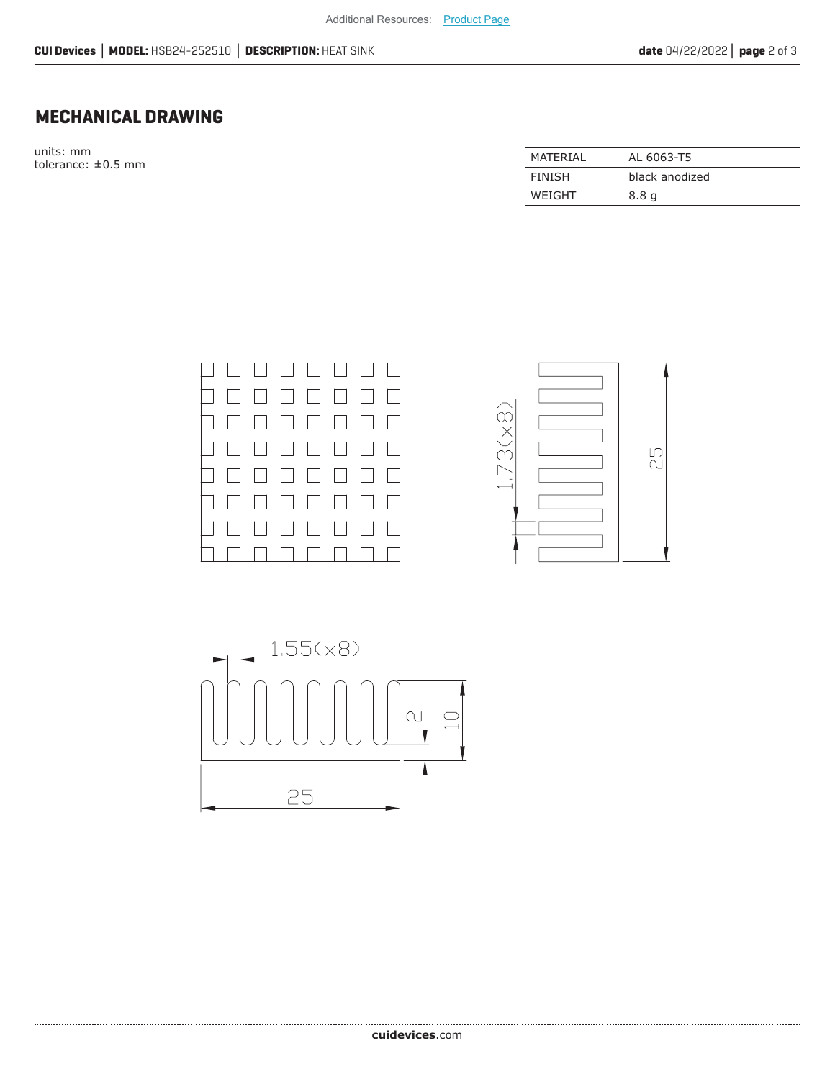#### **MECHANICAL DRAWING**

units: mm  $t$ olerance:  $\pm 0.5$  mm

| MATFRIAI      | AL 6063-T5       |
|---------------|------------------|
| <b>FINISH</b> | black anodized   |
| WEIGHT        | 8.8 <sub>q</sub> |